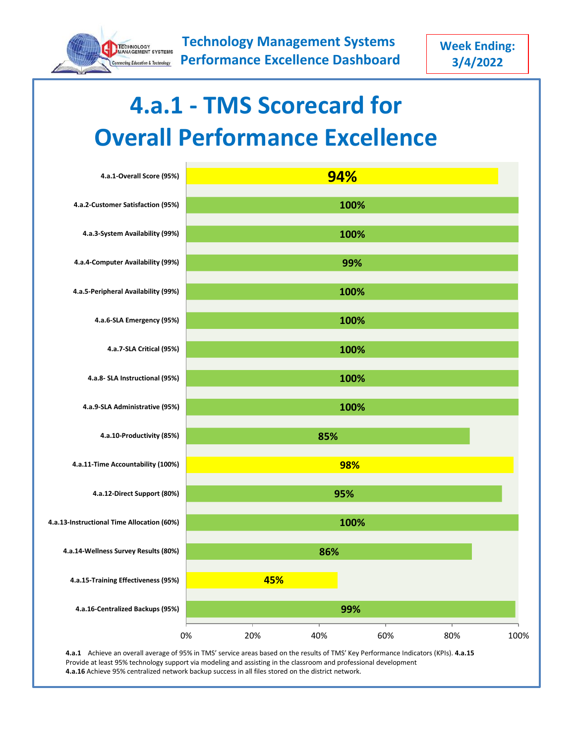

# **4.a.1 - TMS Scorecard for Overall Performance Excellence**

| 4.a.1-Overall Score (95%)                  |           |     | 94%  |     |      |
|--------------------------------------------|-----------|-----|------|-----|------|
| 4.a.2-Customer Satisfaction (95%)          |           |     | 100% |     |      |
| 4.a.3-System Availability (99%)            |           |     | 100% |     |      |
| 4.a.4-Computer Availability (99%)          |           |     | 99%  |     |      |
| 4.a.5-Peripheral Availability (99%)        |           |     | 100% |     |      |
| 4.a.6-SLA Emergency (95%)                  |           |     | 100% |     |      |
| 4.a.7-SLA Critical (95%)                   |           |     | 100% |     |      |
| 4.a.8- SLA Instructional (95%)             |           |     | 100% |     |      |
| 4.a.9-SLA Administrative (95%)             |           |     | 100% |     |      |
| 4.a.10-Productivity (85%)                  |           | 85% |      |     |      |
| 4.a.11-Time Accountability (100%)          |           |     | 98%  |     |      |
| 4.a.12-Direct Support (80%)                |           |     | 95%  |     |      |
| 4.a.13-Instructional Time Allocation (60%) |           |     | 100% |     |      |
| 4.a.14-Wellness Survey Results (80%)       | 86%       |     |      |     |      |
| 4.a.15-Training Effectiveness (95%)        |           | 45% |      |     |      |
| 4.a.16-Centralized Backups (95%)           | 99%       |     |      |     |      |
|                                            | 0%<br>20% | 40% | 60%  | 80% | 100% |

**4.a.1** Achieve an overall average of 95% in TMS' service areas based on the results of TMS' Key Performance Indicators (KPIs). **4.a.15** Provide at least 95% technology support via modeling and assisting in the classroom and professional development **4.a.16** Achieve 95% centralized network backup success in all files stored on the district network.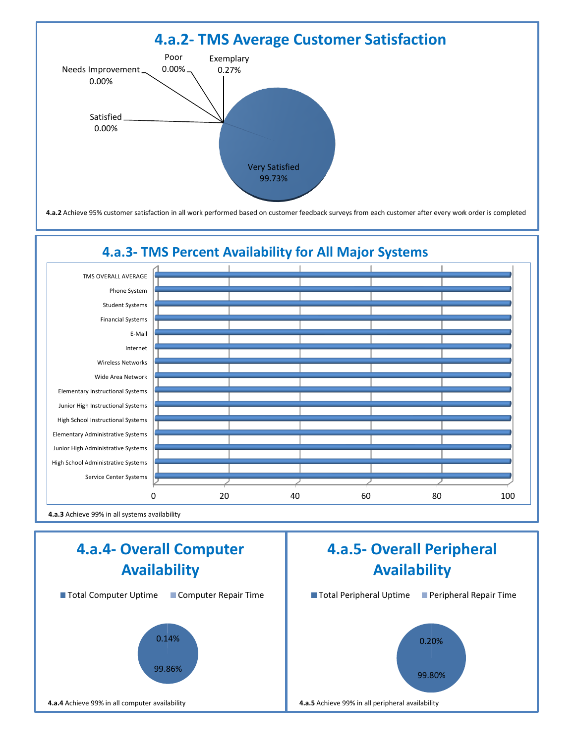

#### **4.a.3- TMS Percent Availability for All Major Systems**



**4.a.3** Achieve 99% in all systems availability

**4.a.4** Achieve 99% in all computer availability

#### **4.a.4- Overall Computer Availability**



99.86%

## **4.a.5- Overall Peripheral Availability**

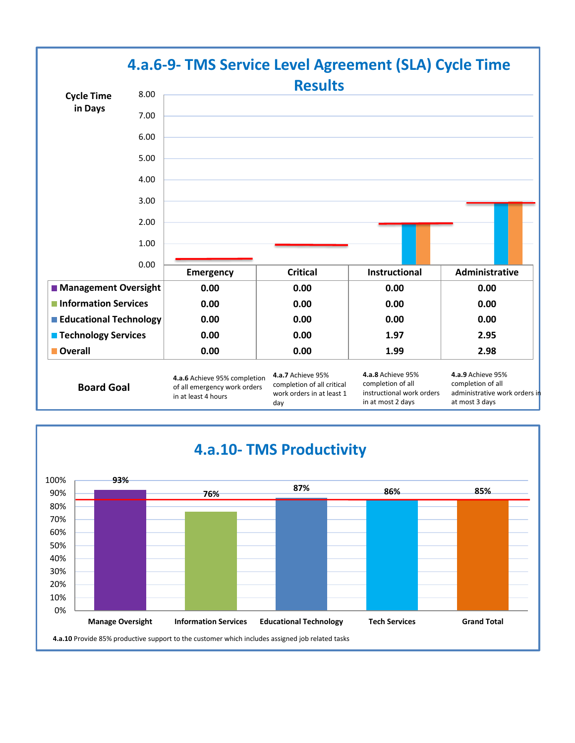

![](_page_2_Figure_1.jpeg)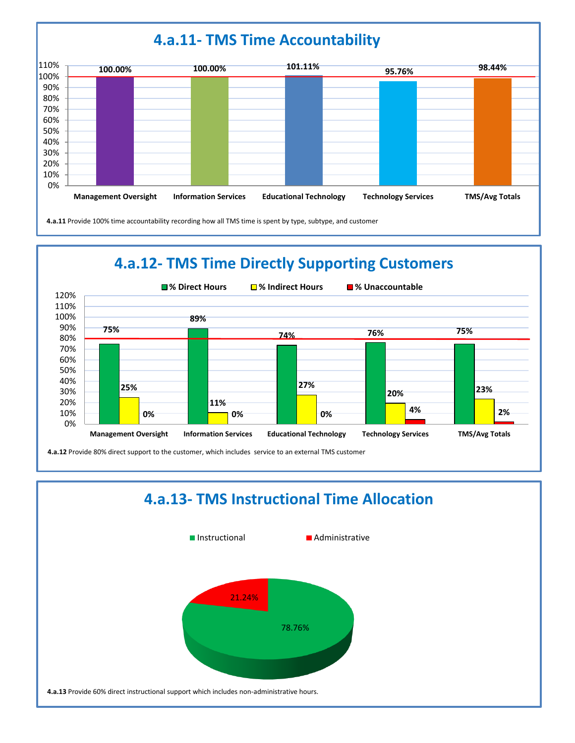![](_page_3_Figure_0.jpeg)

**4.a.11** Provide 100% time accountability recording how all TMS time is spent by type, subtype, and customer

#### **4.a.12- TMS Time Directly Supporting Customers**

![](_page_3_Figure_3.jpeg)

**4.a.12** Provide 80% direct support to the customer, which includes service to an external TMS customer

#### **4.a.13- TMS Instructional Time Allocation**

![](_page_3_Figure_6.jpeg)

**4.a.13** Provide 60% direct instructional support which includes non-administrative hours.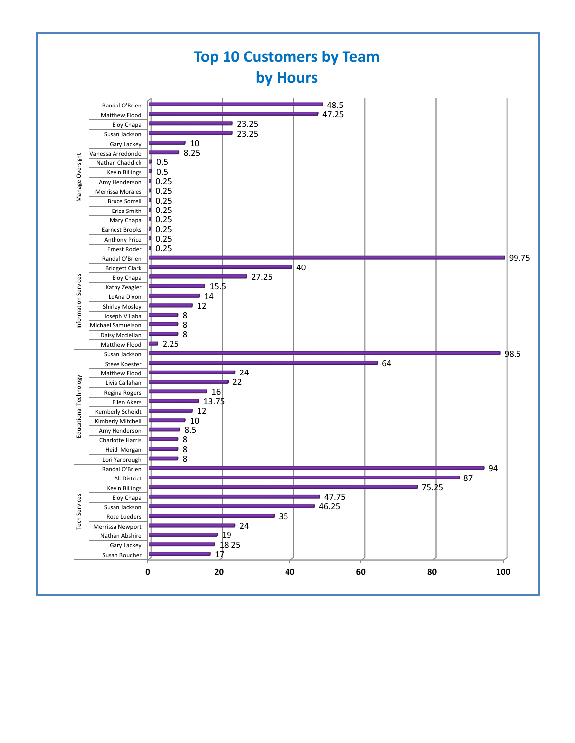![](_page_4_Figure_0.jpeg)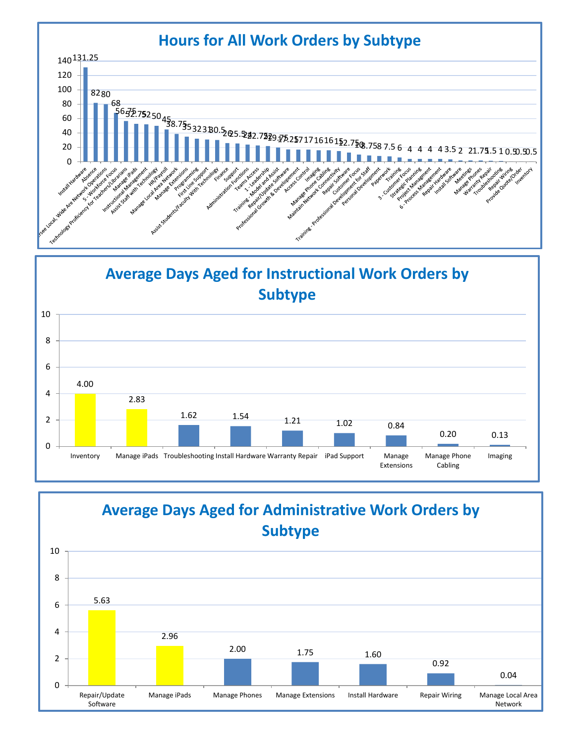![](_page_5_Figure_0.jpeg)

![](_page_5_Figure_1.jpeg)

![](_page_5_Figure_2.jpeg)